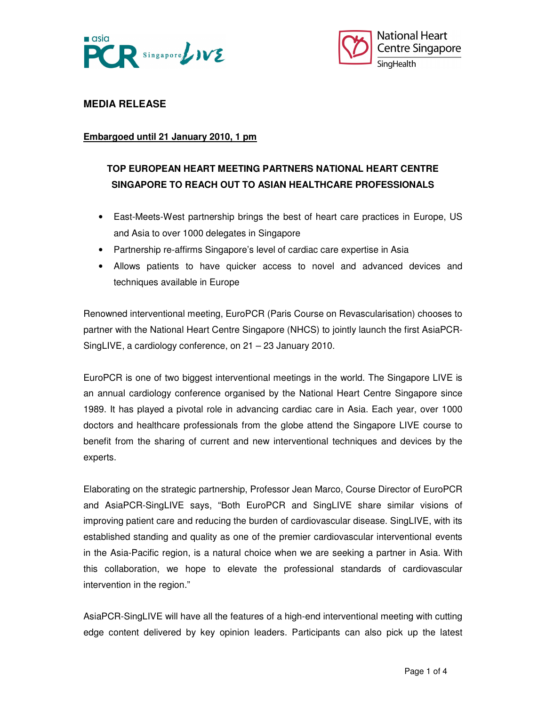



# **MEDIA RELEASE**

### **Embargoed until 21 January 2010, 1 pm**

# **TOP EUROPEAN HEART MEETING PARTNERS NATIONAL HEART CENTRE SINGAPORE TO REACH OUT TO ASIAN HEALTHCARE PROFESSIONALS**

- East-Meets-West partnership brings the best of heart care practices in Europe, US and Asia to over 1000 delegates in Singapore
- Partnership re-affirms Singapore's level of cardiac care expertise in Asia
- Allows patients to have quicker access to novel and advanced devices and techniques available in Europe

Renowned interventional meeting, EuroPCR (Paris Course on Revascularisation) chooses to partner with the National Heart Centre Singapore (NHCS) to jointly launch the first AsiaPCR-SingLIVE, a cardiology conference, on 21 – 23 January 2010.

EuroPCR is one of two biggest interventional meetings in the world. The Singapore LIVE is an annual cardiology conference organised by the National Heart Centre Singapore since 1989. It has played a pivotal role in advancing cardiac care in Asia. Each year, over 1000 doctors and healthcare professionals from the globe attend the Singapore LIVE course to benefit from the sharing of current and new interventional techniques and devices by the experts.

Elaborating on the strategic partnership, Professor Jean Marco, Course Director of EuroPCR and AsiaPCR-SingLIVE says, "Both EuroPCR and SingLIVE share similar visions of improving patient care and reducing the burden of cardiovascular disease. SingLIVE, with its established standing and quality as one of the premier cardiovascular interventional events in the Asia-Pacific region, is a natural choice when we are seeking a partner in Asia. With this collaboration, we hope to elevate the professional standards of cardiovascular intervention in the region."

AsiaPCR-SingLIVE will have all the features of a high-end interventional meeting with cutting edge content delivered by key opinion leaders. Participants can also pick up the latest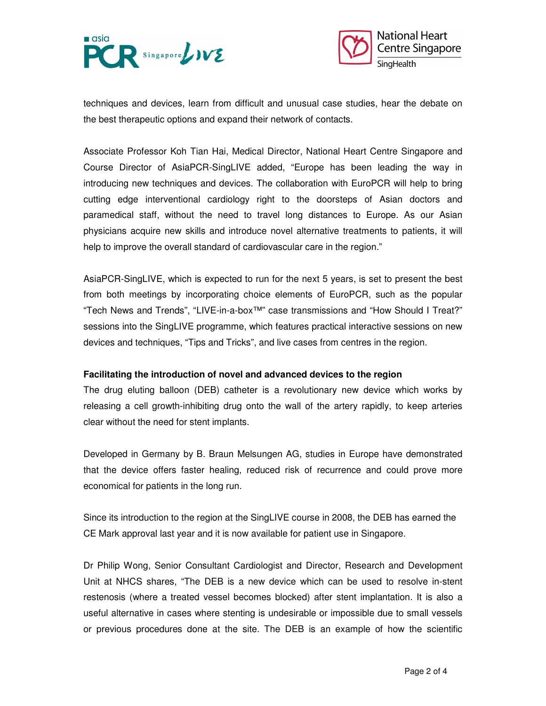



techniques and devices, learn from difficult and unusual case studies, hear the debate on the best therapeutic options and expand their network of contacts.

Associate Professor Koh Tian Hai, Medical Director, National Heart Centre Singapore and Course Director of AsiaPCR-SingLIVE added, "Europe has been leading the way in introducing new techniques and devices. The collaboration with EuroPCR will help to bring cutting edge interventional cardiology right to the doorsteps of Asian doctors and paramedical staff, without the need to travel long distances to Europe. As our Asian physicians acquire new skills and introduce novel alternative treatments to patients, it will help to improve the overall standard of cardiovascular care in the region."

AsiaPCR-SingLIVE, which is expected to run for the next 5 years, is set to present the best from both meetings by incorporating choice elements of EuroPCR, such as the popular "Tech News and Trends", "LIVE-in-a-box™" case transmissions and "How Should I Treat?" sessions into the SingLIVE programme, which features practical interactive sessions on new devices and techniques, "Tips and Tricks", and live cases from centres in the region.

#### **Facilitating the introduction of novel and advanced devices to the region**

The drug eluting balloon (DEB) catheter is a revolutionary new device which works by releasing a cell growth-inhibiting drug onto the wall of the artery rapidly, to keep arteries clear without the need for stent implants.

Developed in Germany by B. Braun Melsungen AG, studies in Europe have demonstrated that the device offers faster healing, reduced risk of recurrence and could prove more economical for patients in the long run.

Since its introduction to the region at the SingLIVE course in 2008, the DEB has earned the CE Mark approval last year and it is now available for patient use in Singapore.

Dr Philip Wong, Senior Consultant Cardiologist and Director, Research and Development Unit at NHCS shares, "The DEB is a new device which can be used to resolve in-stent restenosis (where a treated vessel becomes blocked) after stent implantation. It is also a useful alternative in cases where stenting is undesirable or impossible due to small vessels or previous procedures done at the site. The DEB is an example of how the scientific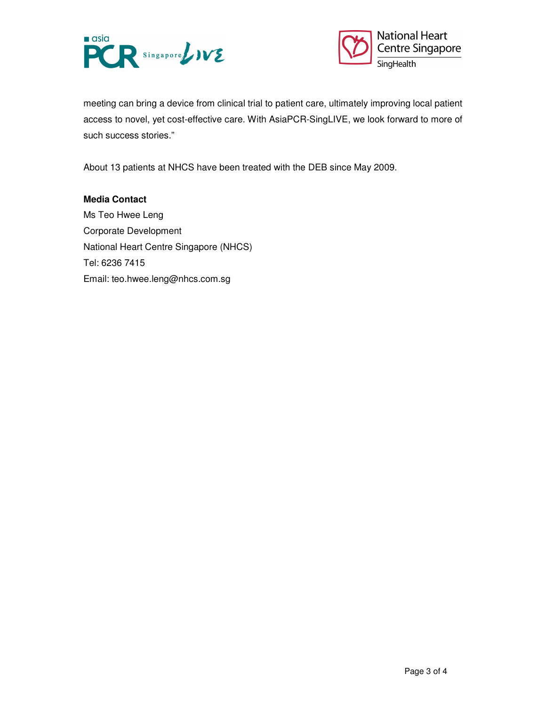



meeting can bring a device from clinical trial to patient care, ultimately improving local patient access to novel, yet cost-effective care. With AsiaPCR-SingLIVE, we look forward to more of such success stories."

About 13 patients at NHCS have been treated with the DEB since May 2009.

### **Media Contact**

Ms Teo Hwee Leng Corporate Development National Heart Centre Singapore (NHCS) Tel: 6236 7415 Email: teo.hwee.leng@nhcs.com.sg